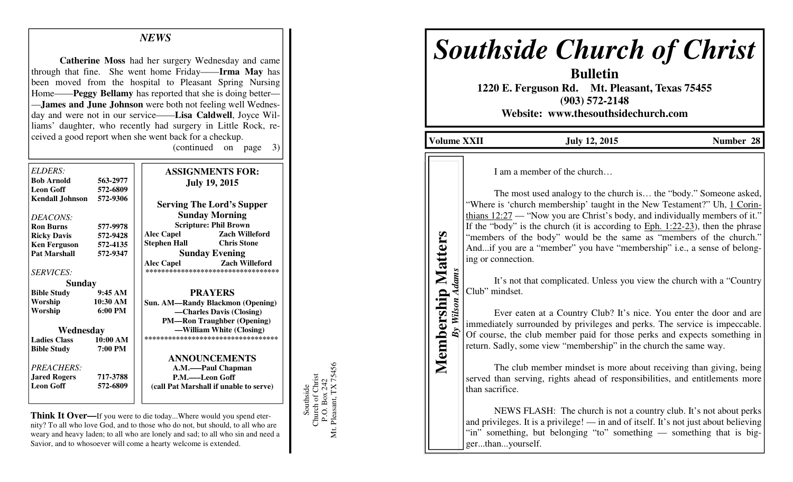## *NEWS*

**Catherine Moss** had her surgery Wednesday and came through that fine. She went home Friday——**Irma May** has been moved from the hospital to Pleasant Spring Nursing Home——**Peggy Bellamy** has reported that she is doing better— —**James and June Johnson** were both not feeling well Wednesday and were not in our service——**Lisa Caldwell**, Joyce Williams' daughter, who recently had surgery in Little Rock, received a good report when she went back for a checkup. (continued on page 3)

| ELDERS:                  |                   | <b>ASSIGNMENTS FOR:</b>                                                   |
|--------------------------|-------------------|---------------------------------------------------------------------------|
| <b>Bob Arnold</b>        | 563-2977          | <b>July 19, 2015</b>                                                      |
| <b>Leon Goff</b>         | 572-6809          |                                                                           |
| Kendall Johnson 572-9306 |                   | <b>Serving The Lord's Supper</b>                                          |
| DEACONS:                 |                   | <b>Sunday Morning</b>                                                     |
| <b>Ron Burns</b>         | 577-9978          | <b>Scripture: Phil Brown</b>                                              |
| <b>Ricky Davis</b>       | 572-9428          | <b>Zach Willeford</b><br><b>Alec Capel</b>                                |
| <b>Ken Ferguson</b>      | 572-4135          | <b>Chris Stone</b><br><b>Stephen Hall</b>                                 |
| <b>Pat Marshall</b>      | 572-9347          | <b>Sunday Evening</b>                                                     |
| <b>SERVICES:</b>         |                   | <b>Zach Willeford</b><br>Alec Capel<br>********************************** |
| <b>Sunday</b>            |                   |                                                                           |
| <b>Bible Study</b>       | 9:45AM            | <b>PRAYERS</b>                                                            |
| Worship                  | 10:30 AM          | <b>Sun. AM—Randy Blackmon (Opening)</b>                                   |
| Worship                  | $6:00 \text{ PM}$ | -Charles Davis (Closing)                                                  |
|                          |                   | <b>PM—Ron Traughber (Opening)</b>                                         |
| Wednesday                |                   | —William White (Closing)                                                  |
| <b>Ladies Class</b>      | 10:00 AM          | ***********************************                                       |
| <b>Bible Study</b>       | 7:00 PM           |                                                                           |
|                          |                   | <b>ANNOUNCEMENTS</b>                                                      |
| PREACHERS:               |                   | A.M.——Paul Chapman                                                        |
| <b>Jared Rogers</b>      | 717-3788          | P.M.——Leon Goff                                                           |
| <b>Leon Goff</b>         | 572-6809          | (call Pat Marshall if unable to serve)                                    |
|                          |                   |                                                                           |

**Think It Over—**If you were to die today...Where would you spend eternity? To all who love God, and to those who do not, but should, to all who are weary and heavy laden; to all who are lonely and sad; to all who sin and need a Savior, and to whosoever will come a hearty welcome is extended.

Southside<br>Church of Christ<br>P.O. Box 242<br>Mt. Pleasant, TX 75456 Mt. Pleasant, TX 75456 Church of Christ P.O. Box 242 Southside

## *Southside Church of Christ*

**Bulletin 1220 E. Ferguson Rd. Mt. Pleasant, Texas 75455 (903) 572-2148 Website: www.thesouthsidechurch.com** 

**Volume XXII July 12, 2015 Number 28** 

Membership Matters **Membership Matters** *By Wilson Adams* 

**Wilson Adams** 

 $\overline{By}$ 

I am a member of the church…

 The most used analogy to the church is… the "body." Someone asked, "Where is 'church membership' taught in the New Testament?" Uh, 1 Corinthians 12:27 — "Now you are Christ's body, and individually members of it." If the "body" is the church (it is according to  $Eph. 1:22-23$ ), then the phrase "members of the body" would be the same as "members of the church." And...if you are a "member" you have "membership" i.e., a sense of belonging or connection.

 It's not that complicated. Unless you view the church with a "Country Club" mindset.

 Ever eaten at a Country Club? It's nice. You enter the door and are immediately surrounded by privileges and perks. The service is impeccable. Of course, the club member paid for those perks and expects something in return. Sadly, some view "membership" in the church the same way.

 The club member mindset is more about receiving than giving, being served than serving, rights ahead of responsibilities, and entitlements more than sacrifice.

 NEWS FLASH: The church is not a country club. It's not about perks and privileges. It is a privilege! — in and of itself. It's not just about believing "in" something, but belonging "to" something — something that is bigger...than...yourself.